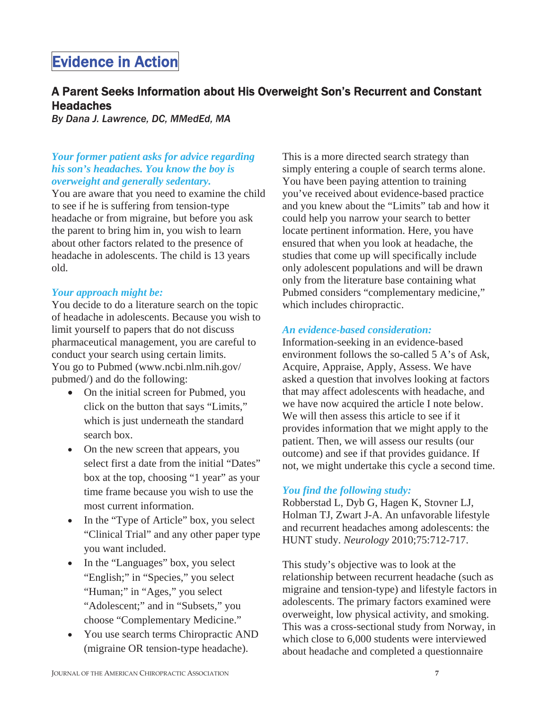# Evidence in Action

# A Parent Seeks Information about His Overweight Son's Recurrent and Constant **Headaches**

*By Dana J. Lawrence, DC, MMedEd, MA* 

### *Your former patient asks for advice regarding his son's headaches. You know the boy is overweight and generally sedentary.*

You are aware that you need to examine the child to see if he is suffering from tension-type headache or from migraine, but before you ask the parent to bring him in, you wish to learn about other factors related to the presence of headache in adolescents. The child is 13 years old.

#### *Your approach might be:*

You decide to do a literature search on the topic of headache in adolescents. Because you wish to limit yourself to papers that do not discuss pharmaceutical management, you are careful to conduct your search using certain limits. You go to Pubmed (www.ncbi.nlm.nih.gov/ pubmed/) and do the following:

- On the initial screen for Pubmed, you click on the button that says "Limits," which is just underneath the standard search box.
- On the new screen that appears, you select first a date from the initial "Dates" box at the top, choosing "1 year" as your time frame because you wish to use the most current information.
- In the "Type of Article" box, you select "Clinical Trial" and any other paper type you want included.
- In the "Languages" box, you select "English;" in "Species," you select "Human;" in "Ages," you select "Adolescent;" and in "Subsets," you choose "Complementary Medicine."
- You use search terms Chiropractic AND (migraine OR tension-type headache).

This is a more directed search strategy than simply entering a couple of search terms alone. You have been paying attention to training you've received about evidence-based practice and you knew about the "Limits" tab and how it could help you narrow your search to better locate pertinent information. Here, you have ensured that when you look at headache, the studies that come up will specifically include only adolescent populations and will be drawn only from the literature base containing what Pubmed considers "complementary medicine," which includes chiropractic.

#### *An evidence-based consideration:*

Information-seeking in an evidence-based environment follows the so-called 5 A's of Ask, Acquire, Appraise, Apply, Assess. We have asked a question that involves looking at factors that may affect adolescents with headache, and we have now acquired the article I note below. We will then assess this article to see if it provides information that we might apply to the patient. Then, we will assess our results (our outcome) and see if that provides guidance. If not, we might undertake this cycle a second time.

#### *You find the following study:*

Robberstad L, Dyb G, Hagen K, Stovner LJ, Holman TJ, Zwart J-A. An unfavorable lifestyle and recurrent headaches among adolescents: the HUNT study. *Neurology* 2010;75:712-717.

This study's objective was to look at the relationship between recurrent headache (such as migraine and tension-type) and lifestyle factors in adolescents. The primary factors examined were overweight, low physical activity, and smoking. This was a cross-sectional study from Norway, in which close to 6,000 students were interviewed about headache and completed a questionnaire